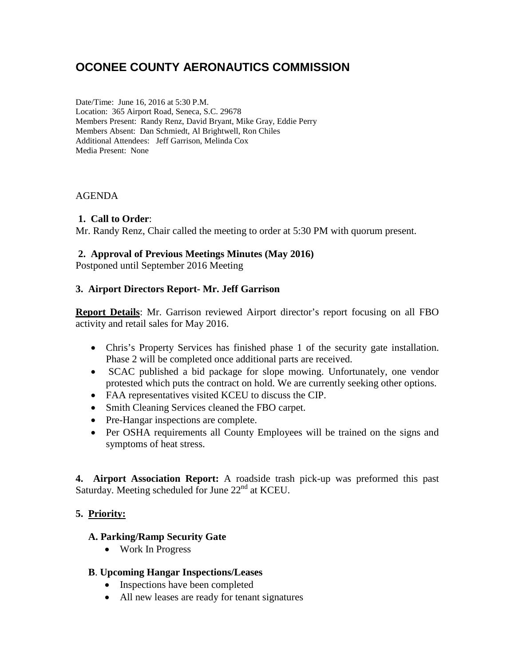# **OCONEE COUNTY AERONAUTICS COMMISSION**

Date/Time: June 16, 2016 at 5:30 P.M. Location: 365 Airport Road, Seneca, S.C. 29678 Members Present: Randy Renz, David Bryant, Mike Gray, Eddie Perry Members Absent: Dan Schmiedt, Al Brightwell, Ron Chiles Additional Attendees: Jeff Garrison, Melinda Cox Media Present: None

#### AGENDA

#### **1. Call to Order**:

Mr. Randy Renz, Chair called the meeting to order at 5:30 PM with quorum present.

#### **2. Approval of Previous Meetings Minutes (May 2016)**

Postponed until September 2016 Meeting

## **3. Airport Directors Report- Mr. Jeff Garrison**

**Report Details**: Mr. Garrison reviewed Airport director's report focusing on all FBO activity and retail sales for May 2016.

- Chris's Property Services has finished phase 1 of the security gate installation. Phase 2 will be completed once additional parts are received.
- SCAC published a bid package for slope mowing. Unfortunately, one vendor protested which puts the contract on hold. We are currently seeking other options.
- FAA representatives visited KCEU to discuss the CIP.
- Smith Cleaning Services cleaned the FBO carpet.
- Pre-Hangar inspections are complete.
- Per OSHA requirements all County Employees will be trained on the signs and symptoms of heat stress.

**4. Airport Association Report:** A roadside trash pick-up was preformed this past Saturday. Meeting scheduled for June 22<sup>nd</sup> at KCEU.

## **5. Priority:**

## **A. Parking/Ramp Security Gate**

• Work In Progress

## **B**. **Upcoming Hangar Inspections/Leases**

- Inspections have been completed
- All new leases are ready for tenant signatures